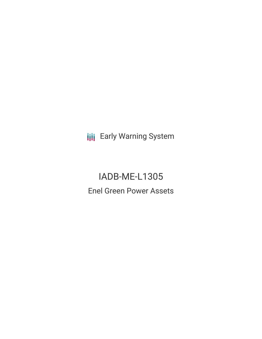**III** Early Warning System

IADB-ME-L1305 Enel Green Power Assets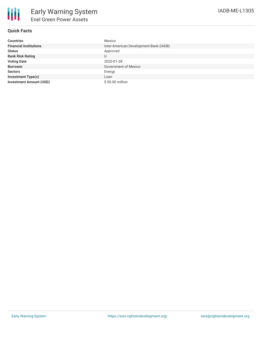# **Quick Facts**

| <b>Countries</b>               | Mexico                                 |
|--------------------------------|----------------------------------------|
| <b>Financial Institutions</b>  | Inter-American Development Bank (IADB) |
| <b>Status</b>                  | Approved                               |
| <b>Bank Risk Rating</b>        | U                                      |
| <b>Voting Date</b>             | 2020-01-28                             |
| <b>Borrower</b>                | <b>Government of Mexico</b>            |
| <b>Sectors</b>                 | Energy                                 |
| <b>Investment Type(s)</b>      | Loan                                   |
| <b>Investment Amount (USD)</b> | \$50.00 million                        |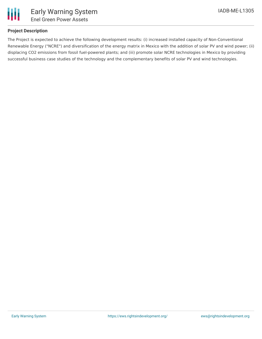

# **Project Description**

The Project is expected to achieve the following development results: (i) increased installed capacity of Non-Conventional Renewable Energy ("NCRE") and diversification of the energy matrix in Mexico with the addition of solar PV and wind power; (ii) displacing CO2 emissions from fossil fuel-powered plants; and (iii) promote solar NCRE technologies in Mexico by providing successful business case studies of the technology and the complementary benefits of solar PV and wind technologies.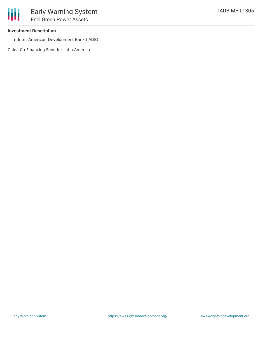### **Investment Description**

• Inter-American Development Bank (IADB)

China Co-Financing Fund for Latin America